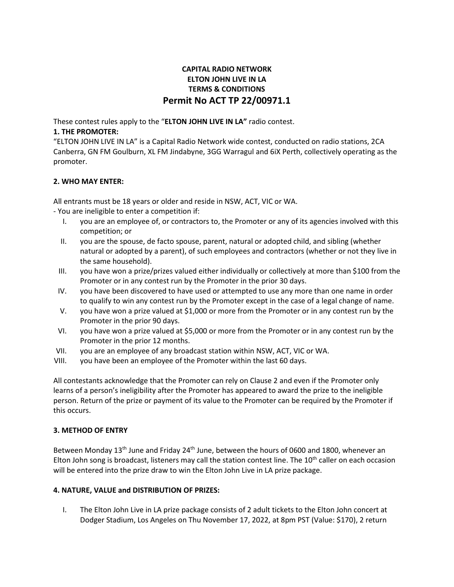# **CAPITAL RADIO NETWORK ELTON JOHN LIVE IN LA TERMS & CONDITIONS Permit No ACT TP 22/00971.1**

These contest rules apply to the "**ELTON JOHN LIVE IN LA"** radio contest.

# **1. THE PROMOTER:**

"ELTON JOHN LIVE IN LA" is a Capital Radio Network wide contest, conducted on radio stations, 2CA Canberra, GN FM Goulburn, XL FM Jindabyne, 3GG Warragul and 6iX Perth, collectively operating as the promoter.

# **2. WHO MAY ENTER:**

All entrants must be 18 years or older and reside in NSW, ACT, VIC or WA.

- You are ineligible to enter a competition if:

- I. you are an employee of, or contractors to, the Promoter or any of its agencies involved with this competition; or
- II. you are the spouse, de facto spouse, parent, natural or adopted child, and sibling (whether natural or adopted by a parent), of such employees and contractors (whether or not they live in the same household).
- III. you have won a prize/prizes valued either individually or collectively at more than \$100 from the Promoter or in any contest run by the Promoter in the prior 30 days.
- IV. you have been discovered to have used or attempted to use any more than one name in order to qualify to win any contest run by the Promoter except in the case of a legal change of name.
- V. you have won a prize valued at \$1,000 or more from the Promoter or in any contest run by the Promoter in the prior 90 days.
- VI. you have won a prize valued at \$5,000 or more from the Promoter or in any contest run by the Promoter in the prior 12 months.
- VII. you are an employee of any broadcast station within NSW, ACT, VIC or WA.
- VIII. you have been an employee of the Promoter within the last 60 days.

All contestants acknowledge that the Promoter can rely on Clause 2 and even if the Promoter only learns of a person's ineligibility after the Promoter has appeared to award the prize to the ineligible person. Return of the prize or payment of its value to the Promoter can be required by the Promoter if this occurs.

### **3. METHOD OF ENTRY**

Between Monday 13<sup>th</sup> June and Friday 24<sup>th</sup> June, between the hours of 0600 and 1800, whenever an Elton John song is broadcast, listeners may call the station contest line. The 10<sup>th</sup> caller on each occasion will be entered into the prize draw to win the Elton John Live in LA prize package.

# **4. NATURE, VALUE and DISTRIBUTION OF PRIZES:**

I. The Elton John Live in LA prize package consists of 2 adult tickets to the Elton John concert at Dodger Stadium, Los Angeles on Thu November 17, 2022, at 8pm PST (Value: \$170), 2 return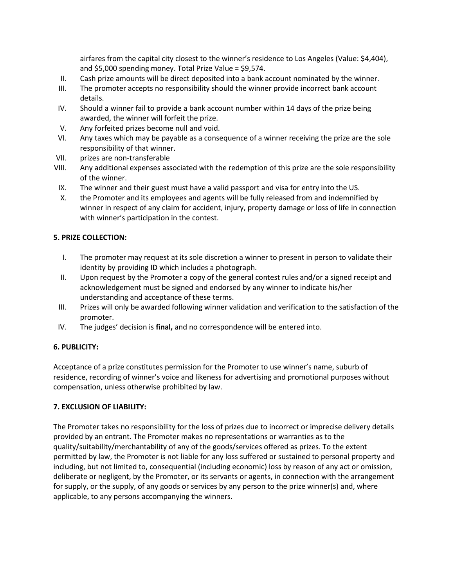airfares from the capital city closest to the winner's residence to Los Angeles (Value: \$4,404), and \$5,000 spending money. Total Prize Value = \$9,574.

- II. Cash prize amounts will be direct deposited into a bank account nominated by the winner.
- III. The promoter accepts no responsibility should the winner provide incorrect bank account details.
- IV. Should a winner fail to provide a bank account number within 14 days of the prize being awarded, the winner will forfeit the prize.
- V. Any forfeited prizes become null and void.
- VI. Any taxes which may be payable as a consequence of a winner receiving the prize are the sole responsibility of that winner.
- VII. prizes are non-transferable
- VIII. Any additional expenses associated with the redemption of this prize are the sole responsibility of the winner.
- IX. The winner and their guest must have a valid passport and visa for entry into the US.
- X. the Promoter and its employees and agents will be fully released from and indemnified by winner in respect of any claim for accident, injury, property damage or loss of life in connection with winner's participation in the contest.

# **5. PRIZE COLLECTION:**

- I. The promoter may request at its sole discretion a winner to present in person to validate their identity by providing ID which includes a photograph.
- II. Upon request by the Promoter a copy of the general contest rules and/or a signed receipt and acknowledgement must be signed and endorsed by any winner to indicate his/her understanding and acceptance of these terms.
- III. Prizes will only be awarded following winner validation and verification to the satisfaction of the promoter.
- IV. The judges' decision is **final,** and no correspondence will be entered into.

## **6. PUBLICITY:**

Acceptance of a prize constitutes permission for the Promoter to use winner's name, suburb of residence, recording of winner's voice and likeness for advertising and promotional purposes without compensation, unless otherwise prohibited by law.

### **7. EXCLUSION OF LIABILITY:**

The Promoter takes no responsibility for the loss of prizes due to incorrect or imprecise delivery details provided by an entrant. The Promoter makes no representations or warranties as to the quality/suitability/merchantability of any of the goods/services offered as prizes. To the extent permitted by law, the Promoter is not liable for any loss suffered or sustained to personal property and including, but not limited to, consequential (including economic) loss by reason of any act or omission, deliberate or negligent, by the Promoter, or its servants or agents, in connection with the arrangement for supply, or the supply, of any goods or services by any person to the prize winner(s) and, where applicable, to any persons accompanying the winners.